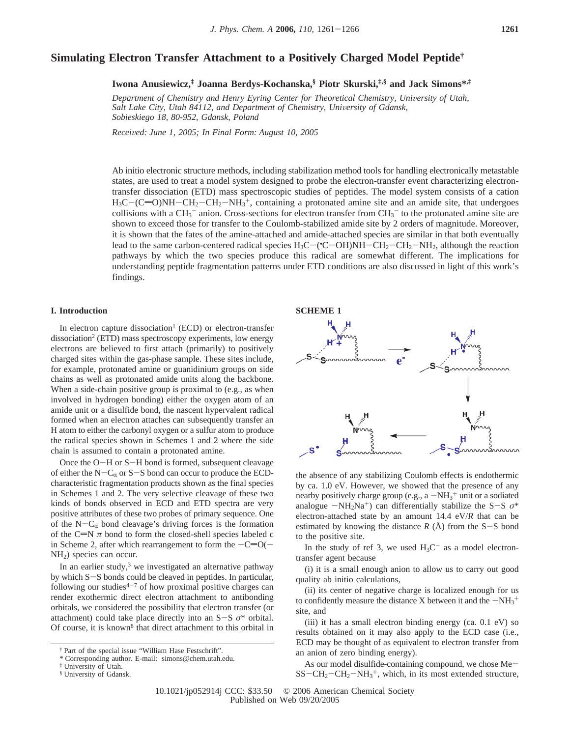# **Simulating Electron Transfer Attachment to a Positively Charged Model Peptide†**

**Iwona Anusiewicz,‡ Joanna Berdys-Kochanska,§ Piotr Skurski,‡,§ and Jack Simons\*,‡**

Department of Chemistry and Henry Eyring Center for Theoretical Chemistry, University of Utah, Salt Lake City, Utah 84112, and Department of Chemistry, University of Gdansk, *Sobieskiego 18, 80-952, Gdansk, Poland*

*Recei*V*ed: June 1, 2005; In Final Form: August 10, 2005*

Ab initio electronic structure methods, including stabilization method tools for handling electronically metastable states, are used to treat a model system designed to probe the electron-transfer event characterizing electrontransfer dissociation (ETD) mass spectroscopic studies of peptides. The model system consists of a cation  $H_3C-(C=O)NH-CH_2-CH_2-NH_3$ <sup>+</sup>, containing a protonated amine site and an amide site, that undergoes collisions with a CH<sub>2</sub><sup>-</sup> anion. Cross-sections for electron transfer from CH<sub>2</sub><sup>-</sup> to the protonated amine site are collisions with a  $CH_3^-$  anion. Cross-sections for electron transfer from  $CH_3^-$  to the protonated amine site are shown to exceed those for transfer to the Coulomb-stabilized amide site by 2 orders of magnitude. Moreover, it is shown that the fates of the amine-attached and amide-attached species are similar in that both eventually lead to the same carbon-centered radical species  $H_3C$  ( $C$  -OH)NH -  $CH_2$  -CH<sub>2</sub>-NH<sub>2</sub>, although the reaction<br>pathways by which the two species produce this radical are somewhat different. The implications for pathways by which the two species produce this radical are somewhat different. The implications for understanding peptide fragmentation patterns under ETD conditions are also discussed in light of this work's findings.

# **I. Introduction**

In electron capture dissociation<sup>1</sup> (ECD) or electron-transfer dissociation<sup>2</sup> (ETD) mass spectroscopy experiments, low energy electrons are believed to first attach (primarily) to positively charged sites within the gas-phase sample. These sites include, for example, protonated amine or guanidinium groups on side chains as well as protonated amide units along the backbone. When a side-chain positive group is proximal to (e.g., as when involved in hydrogen bonding) either the oxygen atom of an amide unit or a disulfide bond, the nascent hypervalent radical formed when an electron attaches can subsequently transfer an H atom to either the carbonyl oxygen or a sulfur atom to produce the radical species shown in Schemes 1 and 2 where the side chain is assumed to contain a protonated amine.

Once the O-H or S-H bond is formed, subsequent cleavage of either the N- $C_{\alpha}$  or S-S bond can occur to produce the ECDcharacteristic fragmentation products shown as the final species in Schemes 1 and 2. The very selective cleavage of these two kinds of bonds observed in ECD and ETD spectra are very positive attributes of these two probes of primary sequence. One of the  $N-C_{\alpha}$  bond cleavage's driving forces is the formation of the C=N  $\pi$  bond to form the closed-shell species labeled c in Scheme 2, after which rearrangement to form the  $-C=O(-$ NH2) species can occur.

In an earlier study, $3$  we investigated an alternative pathway by which S-S bonds could be cleaved in peptides. In particular, following our studies<sup> $4-7$ </sup> of how proximal positive charges can render exothermic direct electron attachment to antibonding orbitals, we considered the possibility that electron transfer (or attachment) could take place directly into an  $S-S$   $\sigma^*$  orbital. Of course, it is known<sup>8</sup> that direct attachment to this orbital in





the absence of any stabilizing Coulomb effects is endothermic by ca. 1.0 eV. However, we showed that the presence of any nearby positively charge group (e.g., a  $-NH_3^+$  unit or a sodiated<br>analogue  $-NH_3N_3^+$ ) can differentially stabilize the S-S  $\sigma^*$ analogue  $-NH_2Na^+$ ) can differentially stabilize the S-S  $\sigma^*$ electron-attached state by an amount 14.4 eV/*R* that can be estimated by knowing the distance  $R(A)$  from the S-S bond to the positive site.

In the study of ref 3, we used  $H_3C^-$  as a model electrontransfer agent because

(i) it is a small enough anion to allow us to carry out good quality ab initio calculations,

(ii) its center of negative charge is localized enough for us to confidently measure the distance X between it and the  $-NH_3^+$ <br>site and site, and

(iii) it has a small electron binding energy (ca. 0.1 eV) so results obtained on it may also apply to the ECD case (i.e., ECD may be thought of as equivalent to electron transfer from an anion of zero binding energy).

As our model disulfide-containing compound, we chose Me- $SS-CH_2-CH_2-NH_3^+$ , which, in its most extended structure,

<sup>†</sup> Part of the special issue "William Hase Festschrift".

<sup>\*</sup> Corresponding author. E-mail: simons@chem.utah.edu.

<sup>‡</sup> University of Utah.

<sup>§</sup> University of Gdansk.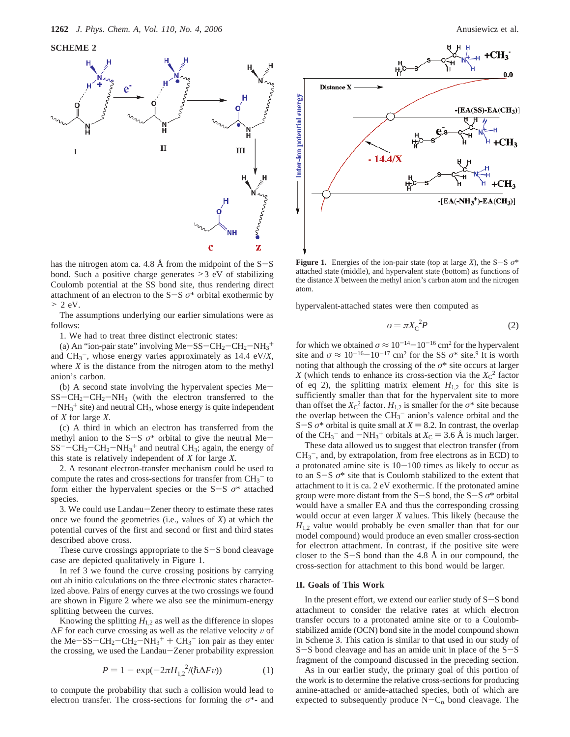**SCHEME 2**





**Figure 1.** Energies of the ion-pair state (top at large *X*), the S-S  $\sigma^*$ attached state (middle), and hypervalent state (bottom) as functions of the distance *X* between the methyl anion's carbon atom and the nitrogen atom.

hypervalent-attached states were then computed as

$$
\sigma = \pi X_C^2 P \tag{2}
$$

for which we obtained  $\sigma \approx 10^{-14}-10^{-16}$  cm<sup>2</sup> for the hypervalent site and  $\sigma \approx 10^{-16}-10^{-17}$  cm<sup>2</sup> for the SS  $\sigma^*$  site.<sup>9</sup> It is worth noting that although the crossing of the  $\sigma^*$  site occurs at larger *X* (which tends to enhance its cross-section via the  $X_C^2$  factor of eq 2), the splitting matrix element  $H_{12}$  for this site is sufficiently smaller than that for the hypervalent site to more than offset the  $X_{\rm C}^2$  factor.  $H_{1,2}$  is smaller for the  $\sigma^*$  site because the overlap between the  $CH_3^-$  anion's valence orbital and the S-S  $\sigma^*$  orbital is quite small at  $X = 8.2$ . In contrast, the overlap of the  $CH_3^-$  and  $-NH_3^+$  orbitals at  $X_C = 3.6$  Å is much larger.<br>These data allowed us to suggest that electron transfer (from

These data allowed us to suggest that electron transfer (from  $CH<sub>3</sub><sup>-</sup>$ , and, by extrapolation, from free electrons as in ECD) to a protonated amine site is  $10-100$  times as likely to occur as to an S-<sup>S</sup> *<sup>σ</sup>*\* site that is Coulomb stabilized to the extent that attachment to it is ca. 2 eV exothermic. If the protonated amine group were more distant from the S-S bond, the S-<sup>S</sup> *<sup>σ</sup>*\* orbital would have a smaller EA and thus the corresponding crossing would occur at even larger *X* values. This likely (because the *H*<sub>1,2</sub> value would probably be even smaller than that for our model compound) would produce an even smaller cross-section for electron attachment. In contrast, if the positive site were closer to the  $S-S$  bond than the 4.8 Å in our compound, the cross-section for attachment to this bond would be larger.

#### **II. Goals of This Work**

In the present effort, we extend our earlier study of S-S bond attachment to consider the relative rates at which electron transfer occurs to a protonated amine site or to a Coulombstabilized amide (OCN) bond site in the model compound shown in Scheme 3. This cation is similar to that used in our study of <sup>S</sup>-S bond cleavage and has an amide unit in place of the S-<sup>S</sup> fragment of the compound discussed in the preceding section.

As in our earlier study, the primary goal of this portion of the work is to determine the relative cross-sections for producing amine-attached or amide-attached species, both of which are expected to subsequently produce 
$$
N - C_{\alpha}
$$
 bond cleavage. The

has the nitrogen atom ca. 4.8 Å from the midpoint of the  $S-S$ bond. Such a positive charge generates >3 eV of stabilizing Coulomb potential at the SS bond site, thus rendering direct attachment of an electron to the  $S-S$   $\sigma^*$  orbital exothermic by  $> 2$  eV.

The assumptions underlying our earlier simulations were as follows:

1. We had to treat three distinct electronic states:

(a) An "ion-pair state" involving  $Me-SS-CH_2-CH_2-NH_3$ <sup>+</sup><br>d CH<sub>2</sub><sup>-</sup> whose energy varies approximately as 14.4 eV/X and  $CH_3^-$ , whose energy varies approximately as 14.4 eV/ $X$ , where *X* is the distance from the nitrogen atom to the methyl anion's carbon.

(b) A second state involving the hypervalent species Me- $SS-CH_2-CH_2-NH_3$  (with the electron transferred to the  $-NH_3^+$  site) and neutral CH<sub>3</sub>, whose energy is quite independent<br>of X for large X of *X* for large *X*.

(c) A third in which an electron has transferred from the methyl anion to the S-<sup>S</sup> *<sup>σ</sup>*\* orbital to give the neutral Me- $SS^-$  -CH<sub>2</sub>-CH<sub>2</sub>-NH<sub>3</sub><sup>+</sup> and neutral CH<sub>3</sub>; again, the energy of this state is relatively independent of X for large X this state is relatively independent of *X* for large *X*.

2. A resonant electron-transfer mechanism could be used to compute the rates and cross-sections for transfer from  $\text{CH}_3^-$  to form either the hypervalent species or the  $S-S$   $\sigma^*$  attached species.

3. We could use Landau-Zener theory to estimate these rates once we found the geometries (i.e., values of *X*) at which the potential curves of the first and second or first and third states described above cross.

These curve crossings appropriate to the  $S-S$  bond cleavage case are depicted qualitatively in Figure 1.

In ref 3 we found the curve crossing positions by carrying out ab initio calculations on the three electronic states characterized above. Pairs of energy curves at the two crossings we found are shown in Figure 2 where we also see the minimum-energy splitting between the curves.

Knowing the splitting  $H_{1,2}$  as well as the difference in slopes  $\Delta F$  for each curve crossing as well as the relative velocity v of the Me-SS-CH<sub>2</sub>-CH<sub>2</sub>-NH<sub>3</sub><sup>+</sup> + CH<sub>3</sub><sup>-</sup> ion pair as they enter<br>the crossing we used the Landau-Zener probability expression the crossing, we used the Landau-Zener probability expression

$$
P = 1 - \exp(-2\pi H_{1,2}^{2}/(\hbar \Delta F \nu))
$$
 (1)

to compute the probability that such a collision would lead to electron transfer. The cross-sections for forming the *σ*\*- and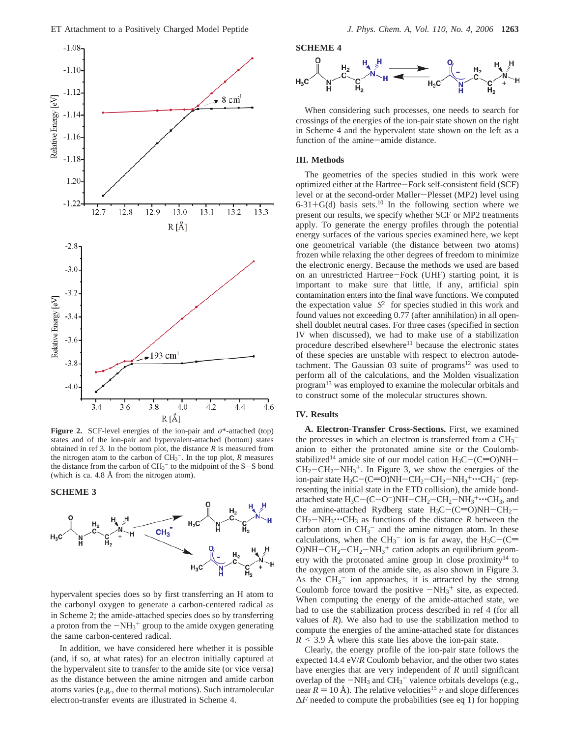![](_page_2_Figure_1.jpeg)

**Figure 2.** SCF-level energies of the ion-pair and *σ*\*-attached (top) states and of the ion-pair and hypervalent-attached (bottom) states obtained in ref 3. In the bottom plot, the distance  $R$  is measured from the nitrogen atom to the carbon of  $CH_3^-$ . In the top plot, *R* measures the distance from the carbon of  $CH_3^-$  to the midpoint of the S-S bond (which is ca. 4.8 Å from the nitrogen atom) (which is ca. 4.8 Å from the nitrogen atom).

**SCHEME 3**

![](_page_2_Figure_4.jpeg)

hypervalent species does so by first transferring an H atom to the carbonyl oxygen to generate a carbon-centered radical as in Scheme 2; the amide-attached species does so by transferring a proton from the  $-NH_3^+$  group to the amide oxygen generating<br>the same carbon-centered radical the same carbon-centered radical.

In addition, we have considered here whether it is possible (and, if so, at what rates) for an electron initially captured at the hypervalent site to transfer to the amide site (or vice versa) as the distance between the amine nitrogen and amide carbon atoms varies (e.g., due to thermal motions). Such intramolecular electron-transfer events are illustrated in Scheme 4.

**SCHEME 4**

![](_page_2_Figure_9.jpeg)

When considering such processes, one needs to search for crossings of the energies of the ion-pair state shown on the right in Scheme 4 and the hypervalent state shown on the left as a function of the amine-amide distance.

## **III. Methods**

The geometries of the species studied in this work were optimized either at the Hartree-Fock self-consistent field (SCF) level or at the second-order Møller-Plesset (MP2) level using  $6-31+G(d)$  basis sets.<sup>10</sup> In the following section where we present our results, we specify whether SCF or MP2 treatments apply. To generate the energy profiles through the potential energy surfaces of the various species examined here, we kept one geometrical variable (the distance between two atoms) frozen while relaxing the other degrees of freedom to minimize the electronic energy. Because the methods we used are based on an unrestricted Hartree-Fock (UHF) starting point, it is important to make sure that little, if any, artificial spin contamination enters into the final wave functions. We computed the expectation value  $\langle S^2 \rangle$  for species studied in this work and found values not exceeding 0.77 (after annihilation) in all openshell doublet neutral cases. For three cases (specified in section IV when discussed), we had to make use of a stabilization procedure described elsewhere $11$  because the electronic states of these species are unstable with respect to electron autodetachment. The Gaussian  $03$  suite of programs<sup>12</sup> was used to perform all of the calculations, and the Molden visualization program13 was employed to examine the molecular orbitals and to construct some of the molecular structures shown.

### **IV. Results**

**A. Electron-Transfer Cross-Sections.** First, we examined the processes in which an electron is transferred from a  $CH_3^$ anion to either the protonated amine site or the Coulombstabilized<sup>14</sup> amide site of our model cation  $H_3C-(C=O)NH CH_2-CH_2-NH_3^+$ . In Figure 3, we show the energies of the ion-pair state  $H_2C-(C=ONH-CH_2-NH_3+...CH_2-CH_2-NH_3^+...$ ion-pair state  $H_3C$  –  $(C=O)NH$  –  $CH_2$  –  $CH_2$  –  $NH_3$  <sup>+</sup> $\cdots$   $CH_3$ <sup>-</sup> (rep-<br>resenting the initial state in the ETD collision), the amide bondresenting the initial state in the ETD collision), the amide bondattached state  $H_3C-(C-O^-)NH-CH_2-CH_2-MH_3+\cdots CH_3$ , and<br>the amine-attached Rydherg state  $H_2C-(C=ONH-CH_2-\cdots)$ the amine-attached Rydberg state  $H_3C-(C=O)NH-CH_2 CH_2-NH_3\cdots CH_3$  as functions of the distance *R* between the carbon atom in  $CH_3^-$  and the amine nitrogen atom. In these calculations, when the  $CH_3^-$  ion is far away, the  $H_3C$  -( $C =$  O)NH -  $CH_3$  -  $CH_3$  -  $CH_3$  - cation adopts an equilibrium geom- $O/NH-CH_2-CH_2-NH_3$ <sup>+</sup> cation adopts an equilibrium geom-<br>etry with the protonated amine group in close proximity<sup>14</sup> to etry with the protonated amine group in close proximity<sup>14</sup> to the oxygen atom of the amide site, as also shown in Figure 3. As the  $CH_3^-$  ion approaches, it is attracted by the strong Coulomb force toward the positive  $-NH_3^+$  site, as expected.<br>When computing the energy of the amide-attached state, we When computing the energy of the amide-attached state, we had to use the stabilization process described in ref 4 (for all values of *R*). We also had to use the stabilization method to compute the energies of the amine-attached state for distances  $R \leq 3.9$  Å where this state lies above the ion-pair state.

Clearly, the energy profile of the ion-pair state follows the expected 14.4 eV/*R* Coulomb behavior, and the other two states have energies that are very independent of *R* until significant overlap of the  $-NH_3$  and  $CH_3^-$  valence orbitals develops (e.g., near  $R = 10 \text{ Å}$ ). The relative velocities<sup>15</sup> u and slope differences near  $R = 10 \text{ Å}$ ). The relative velocities<sup>15</sup> v and slope differences ∆*F* needed to compute the probabilities (see eq 1) for hopping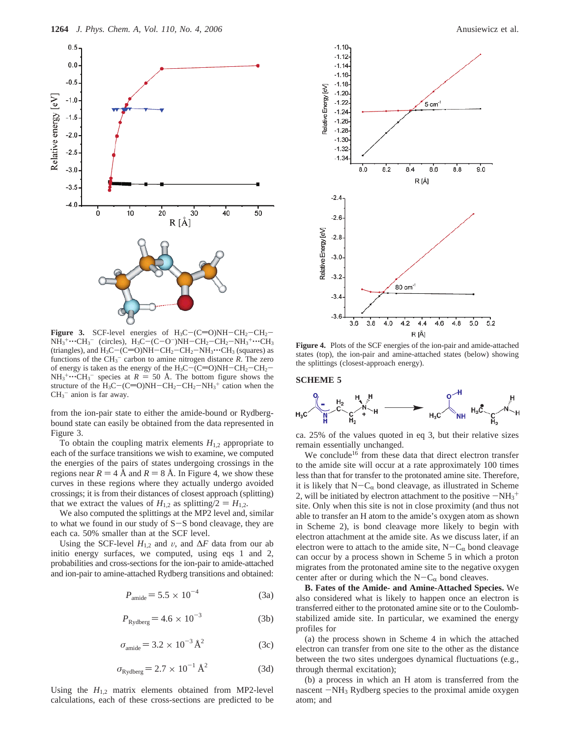![](_page_3_Figure_1.jpeg)

**Figure 3.** SCF-level energies of  $H_3C$  -  $(C=O)NH$  -  $CH_2$  -  $CH_2$  -NH<sub>3</sub><sup>+</sup>···CH<sub>3</sub><sup>−</sup> (circles), H<sub>3</sub>C−(C−O<sup>−</sup>)NH−CH<sub>2</sub>−CH<sub>2</sub>−NH<sub>3</sub><sup>+</sup>···CH<sub>3</sub><br>(triangles) and H2C−(C=O)NH−CH2−CH2−NH2····CH2 (squares) as (triangles), and  $H_3C$  – (C=O)NH – CH<sub>2</sub> – CH<sub>2</sub> – NH<sub>3</sub> $\cdots$ CH<sub>3</sub> (squares) as functions of the  $CH_3^-$  carbon to amine nitrogen distance  $R$ . The zero of energy is taken as the energy of the  $H_3C - (C = 0)NH - CH_2-CH_2$ - $NH_3^+\cdots CH_3^-$  species at  $R = 50$  Å. The bottom figure shows the structure of the H<sub>2</sub>C-(C=O)NH-CH<sub>2</sub>-CH<sub>2</sub>-NH<sub>2</sub><sup>+</sup> cation when the structure of the H<sub>3</sub>C-(C=O)NH-CH<sub>2</sub>-CH<sub>2</sub>-NH<sub>3</sub><sup>+</sup> cation when the CH<sub>2</sub><sup>-</sup> anion is far away  $CH<sub>3</sub><sup>-</sup>$  anion is far away.

from the ion-pair state to either the amide-bound or Rydbergbound state can easily be obtained from the data represented in Figure 3.

To obtain the coupling matrix elements  $H_{1,2}$  appropriate to each of the surface transitions we wish to examine, we computed the energies of the pairs of states undergoing crossings in the regions near  $R = 4$  Å and  $R = 8$  Å. In Figure 4, we show these curves in these regions where they actually undergo avoided crossings; it is from their distances of closest approach (splitting) that we extract the values of  $H_{1,2}$  as splitting/2 =  $H_{1,2}$ .

We also computed the splittings at the MP2 level and, similar to what we found in our study of S-S bond cleavage, they are each ca. 50% smaller than at the SCF level.

Using the SCF-level  $H_{1,2}$  and  $v$ , and  $\Delta F$  data from our ab initio energy surfaces, we computed, using eqs 1 and 2, probabilities and cross-sections for the ion-pair to amide-attached and ion-pair to amine-attached Rydberg transitions and obtained:

$$
P_{\text{amide}} = 5.5 \times 10^{-4} \tag{3a}
$$

$$
P_{\text{Rydberg}} = 4.6 \times 10^{-3} \tag{3b}
$$

$$
\sigma_{\text{amide}} = 3.2 \times 10^{-3} \,\text{\AA}^2 \tag{3c}
$$

$$
\sigma_{\text{Rydberg}} = 2.7 \times 10^{-1} \,\text{\AA}^2 \tag{3d}
$$

Using the  $H_{1,2}$  matrix elements obtained from MP2-level calculations, each of these cross-sections are predicted to be

![](_page_3_Figure_12.jpeg)

80 cm<sup>-1</sup>  $-3.4$  $-3.6$  $3.6$  $3.8$  $4.0$  $4.2$  $4.4$  $5.2$ 4.6  $4.8$  $5.0$ R [Å] **Figure 4.** Plots of the SCF energies of the ion-pair and amide-attached

states (top), the ion-pair and amine-attached states (below) showing the splittings (closest-approach energy).

#### **SCHEME 5**

Relative Energy [eV

 $-3.2$ 

Relative Energy [eV]

![](_page_3_Figure_16.jpeg)

ca. 25% of the values quoted in eq 3, but their relative sizes remain essentially unchanged.

We conclude<sup>16</sup> from these data that direct electron transfer to the amide site will occur at a rate approximately 100 times less than that for transfer to the protonated amine site. Therefore, it is likely that  $N-C_{\alpha}$  bond cleavage, as illustrated in Scheme 2, will be initiated by electron attachment to the positive  $-NH_3^+$ <br>site. Only when this site is not in close proximity (and thus not site. Only when this site is not in close proximity (and thus not able to transfer an H atom to the amide's oxygen atom as shown in Scheme 2), is bond cleavage more likely to begin with electron attachment at the amide site. As we discuss later, if an electron were to attach to the amide site,  $N-C_{\alpha}$  bond cleavage can occur by a process shown in Scheme 5 in which a proton migrates from the protonated amine site to the negative oxygen center after or during which the  $N-C_{\alpha}$  bond cleaves.

**B. Fates of the Amide- and Amine-Attached Species.** We also considered what is likely to happen once an electron is transferred either to the protonated amine site or to the Coulombstabilized amide site. In particular, we examined the energy profiles for

(a) the process shown in Scheme 4 in which the attached electron can transfer from one site to the other as the distance between the two sites undergoes dynamical fluctuations (e.g., through thermal excitation);

(b) a process in which an H atom is transferred from the nascent  $-NH_3$  Rydberg species to the proximal amide oxygen atom; and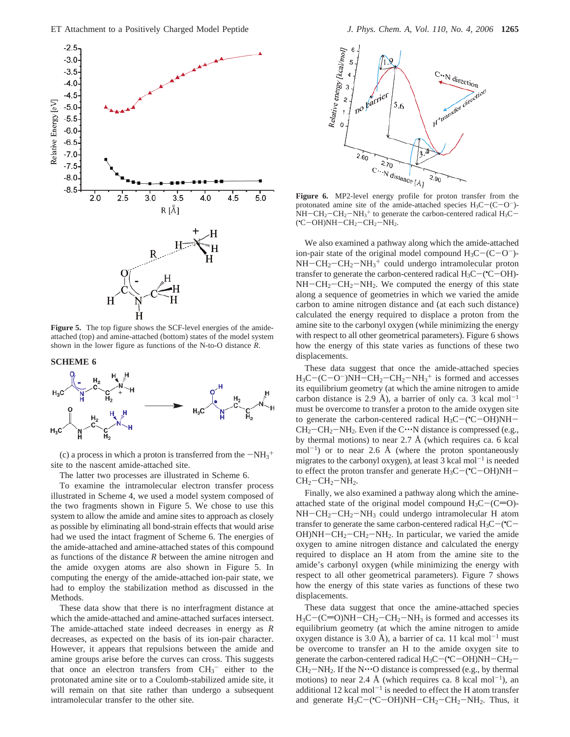![](_page_4_Figure_1.jpeg)

**Figure 5.** The top figure shows the SCF-level energies of the amideattached (top) and amine-attached (bottom) states of the model system shown in the lower figure as functions of the N-to-O distance *R*.

## **SCHEME 6**

![](_page_4_Figure_4.jpeg)

(c) a process in which a proton is transferred from the  $-NH_3^+$ <br>e to the nascent amide-attached site site to the nascent amide-attached site.

The latter two processes are illustrated in Scheme 6.

To examine the intramolecular electron transfer process illustrated in Scheme 4, we used a model system composed of the two fragments shown in Figure 5. We chose to use this system to allow the amide and amine sites to approach as closely as possible by eliminating all bond-strain effects that would arise had we used the intact fragment of Scheme 6. The energies of the amide-attached and amine-attached states of this compound as functions of the distance *R* between the amine nitrogen and the amide oxygen atoms are also shown in Figure 5. In computing the energy of the amide-attached ion-pair state, we had to employ the stabilization method as discussed in the Methods.

These data show that there is no interfragment distance at which the amide-attached and amine-attached surfaces intersect. The amide-attached state indeed decreases in energy as *R* decreases, as expected on the basis of its ion-pair character. However, it appears that repulsions between the amide and amine groups arise before the curves can cross. This suggests that once an electron transfers from  $CH_3^-$  either to the protonated amine site or to a Coulomb-stabilized amide site, it will remain on that site rather than undergo a subsequent intramolecular transfer to the other site.

![](_page_4_Figure_10.jpeg)

**Figure 6.** MP2-level energy profile for proton transfer from the protonated amine site of the amide-attached species  $H_3C-(C-O^-)$ - $NH-CH_2-CH_2-NH_3^+$  to generate the carbon-centered radical  $H_3C ({\rm ^{\bullet}C}{\rm -OH})$ NH ${\rm -CH_2}{\rm -CH_2}{\rm -NH_2}.$ 

We also examined a pathway along which the amide-attached ion-pair state of the original model compound  $H_3C-(C-O^-)$ - $NH-CH_2-CH_2-MH_3$ <sup>+</sup> could undergo intramolecular proton<br>transfer to generate the carbon-centered radical  $H_2C-\gamma C$ -OH)transfer to generate the carbon-centered radical  $H_3C$  – ( $C$  – OH)-<br>NH – CH<sub>2</sub> – CH<sub>2</sub> – NH<sub>2</sub>. We computed the energy of this state  $NH-CH_2-CH_2-NH_2$ . We computed the energy of this state along a sequence of geometries in which we varied the amide carbon to amine nitrogen distance and (at each such distance) calculated the energy required to displace a proton from the amine site to the carbonyl oxygen (while minimizing the energy with respect to all other geometrical parameters). Figure 6 shows how the energy of this state varies as functions of these two displacements.

These data suggest that once the amide-attached species  $H_3C$  –  $(C-O^-)NH-CH_2-CH_2-NH_3^+$  is formed and accesses<br>its equilibrium geometry (at which the amine nitrogen to amide its equilibrium geometry (at which the amine nitrogen to amide carbon distance is 2.9 Å), a barrier of only ca. 3 kcal mol<sup>-1</sup> must be overcome to transfer a proton to the amide oxygen site to generate the carbon-centered radical  $H_3C$  – ( $C$  – OH)NH – CH<sub>2</sub> – CH<sub>2</sub> – NH<sub>2</sub>. Even if the C $\cdots$ N distance is compressed (e.g.  $CH_2-CH_2-NH_2$ . Even if the C $\cdots$ N distance is compressed (e.g., by thermal motions) to near 2.7 Å (which requires ca. 6 kcal mol<sup>-1</sup>) or to near 2.6 Å (where the proton spontaneously migrates to the carbonyl oxygen), at least  $3 \text{ kcal mol}^{-1}$  is needed to effect the proton transfer and generate  $H_3C$  – ( $\text{°C}-\text{OH}$ )NH –  $CH_2$  –  $CH_3$  – NH<sub>2</sub>  $CH<sub>2</sub>-CH<sub>2</sub>-NH<sub>2</sub>$ .

Finally, we also examined a pathway along which the amineattached state of the original model compound  $H_3C-(C=0)$ - $NH-CH_2-CH_2-NH_3$  could undergo intramolecular H atom transfer to generate the same carbon-centered radical  $H_3C$  – ( $C$  –  $CH_3$  –  $CH_3$  –  $NH_3$  – In particular, we varied the amide  $OH)NH-CH_2-CH_2-NH_2$ . In particular, we varied the amide oxygen to amine nitrogen distance and calculated the energy required to displace an H atom from the amine site to the amide's carbonyl oxygen (while minimizing the energy with respect to all other geometrical parameters). Figure 7 shows how the energy of this state varies as functions of these two displacements.

These data suggest that once the amine-attached species  $H_3C$  –(C=O)NH–CH<sub>2</sub>–CH<sub>2</sub>–NH<sub>3</sub> is formed and accesses its equilibrium geometry (at which the amine nitrogen to amide oxygen distance is 3.0 Å), a barrier of ca. 11 kcal mol<sup>-1</sup> must be overcome to transfer an H to the amide oxygen site to generate the carbon-centered radical  $H_3C$  – ( $C$  – OH)NH –  $CH_2$  –  $CH_3$  –  $NH_3$  – If the N $\cdots$ O distance is compressed (e.g. by thermal  $CH_2-NH_2$ . If the N $\cdots$ O distance is compressed (e.g., by thermal motions) to near 2.4 Å (which requires ca. 8 kcal mol<sup>-1</sup>), an additional 12 kcal mol<sup>-1</sup> is needed to effect the H atom transfer and generate  $H_3C$  – ( $C$  – OH)NH – CH<sub>2</sub> – CH<sub>2</sub> – NH<sub>2</sub>. Thus, it